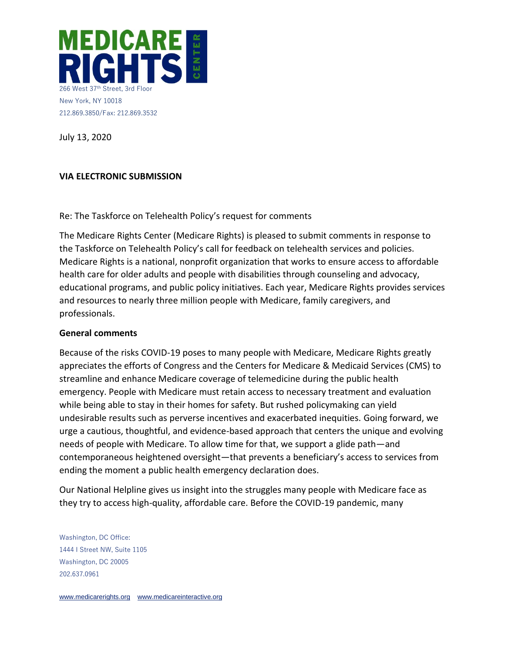

July 13, 2020

### **VIA ELECTRONIC SUBMISSION**

Re: The Taskforce on Telehealth Policy's request for comments

The Medicare Rights Center (Medicare Rights) is pleased to submit comments in response to the Taskforce on Telehealth Policy's call for feedback on telehealth services and policies. Medicare Rights is a national, nonprofit organization that works to ensure access to affordable health care for older adults and people with disabilities through counseling and advocacy, educational programs, and public policy initiatives. Each year, Medicare Rights provides services and resources to nearly three million people with Medicare, family caregivers, and professionals.

### **General comments**

Because of the risks COVID-19 poses to many people with Medicare, Medicare Rights greatly appreciates the efforts of Congress and the Centers for Medicare & Medicaid Services (CMS) to streamline and enhance Medicare coverage of telemedicine during the public health emergency. People with Medicare must retain access to necessary treatment and evaluation while being able to stay in their homes for safety. But rushed policymaking can yield undesirable results such as perverse incentives and exacerbated inequities. Going forward, we urge a cautious, thoughtful, and evidence-based approach that centers the unique and evolving needs of people with Medicare. To allow time for that, we support a glide path—and contemporaneous heightened oversight—that prevents a beneficiary's access to services from ending the moment a public health emergency declaration does.

Our National Helpline gives us insight into the struggles many people with Medicare face as they try to access high-quality, affordable care. Before the COVID-19 pandemic, many

Washington, DC Office: 1444 I Street NW, Suite 1105 Washington, DC 20005 202.637.0961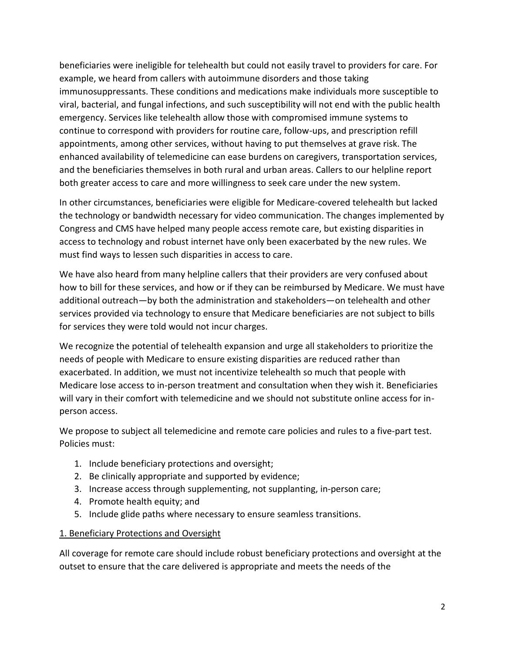beneficiaries were ineligible for telehealth but could not easily travel to providers for care. For example, we heard from callers with autoimmune disorders and those taking immunosuppressants. These conditions and medications make individuals more susceptible to viral, bacterial, and fungal infections, and such susceptibility will not end with the public health emergency. Services like telehealth allow those with compromised immune systems to continue to correspond with providers for routine care, follow-ups, and prescription refill appointments, among other services, without having to put themselves at grave risk. The enhanced availability of telemedicine can ease burdens on caregivers, transportation services, and the beneficiaries themselves in both rural and urban areas. Callers to our helpline report both greater access to care and more willingness to seek care under the new system.

In other circumstances, beneficiaries were eligible for Medicare-covered telehealth but lacked the technology or bandwidth necessary for video communication. The changes implemented by Congress and CMS have helped many people access remote care, but existing disparities in access to technology and robust internet have only been exacerbated by the new rules. We must find ways to lessen such disparities in access to care.

We have also heard from many helpline callers that their providers are very confused about how to bill for these services, and how or if they can be reimbursed by Medicare. We must have additional outreach—by both the administration and stakeholders—on telehealth and other services provided via technology to ensure that Medicare beneficiaries are not subject to bills for services they were told would not incur charges.

We recognize the potential of telehealth expansion and urge all stakeholders to prioritize the needs of people with Medicare to ensure existing disparities are reduced rather than exacerbated. In addition, we must not incentivize telehealth so much that people with Medicare lose access to in-person treatment and consultation when they wish it. Beneficiaries will vary in their comfort with telemedicine and we should not substitute online access for inperson access.

We propose to subject all telemedicine and remote care policies and rules to a five-part test. Policies must:

- 1. Include beneficiary protections and oversight;
- 2. Be clinically appropriate and supported by evidence;
- 3. Increase access through supplementing, not supplanting, in-person care;
- 4. Promote health equity; and
- 5. Include glide paths where necessary to ensure seamless transitions.

## 1. Beneficiary Protections and Oversight

All coverage for remote care should include robust beneficiary protections and oversight at the outset to ensure that the care delivered is appropriate and meets the needs of the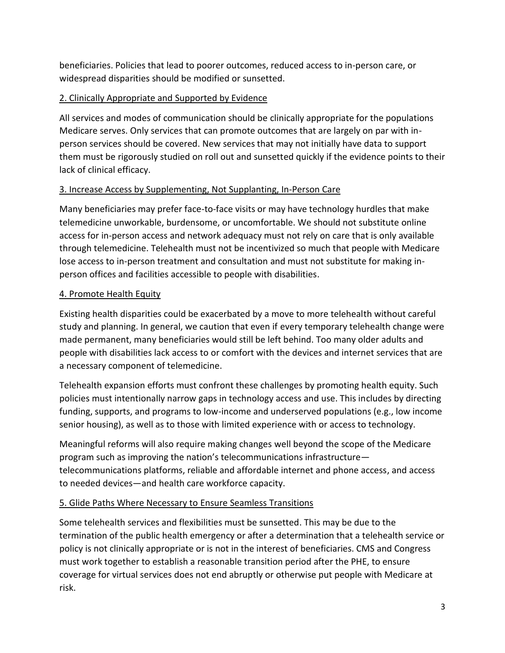beneficiaries. Policies that lead to poorer outcomes, reduced access to in-person care, or widespread disparities should be modified or sunsetted.

# 2. Clinically Appropriate and Supported by Evidence

All services and modes of communication should be clinically appropriate for the populations Medicare serves. Only services that can promote outcomes that are largely on par with inperson services should be covered. New services that may not initially have data to support them must be rigorously studied on roll out and sunsetted quickly if the evidence points to their lack of clinical efficacy.

# 3. Increase Access by Supplementing, Not Supplanting, In-Person Care

Many beneficiaries may prefer face-to-face visits or may have technology hurdles that make telemedicine unworkable, burdensome, or uncomfortable. We should not substitute online access for in-person access and network adequacy must not rely on care that is only available through telemedicine. Telehealth must not be incentivized so much that people with Medicare lose access to in-person treatment and consultation and must not substitute for making inperson offices and facilities accessible to people with disabilities.

## 4. Promote Health Equity

Existing health disparities could be exacerbated by a move to more telehealth without careful study and planning. In general, we caution that even if every temporary telehealth change were made permanent, many beneficiaries would still be left behind. Too many older adults and people with disabilities lack access to or comfort with the devices and internet services that are a necessary component of telemedicine.

Telehealth expansion efforts must confront these challenges by promoting health equity. Such policies must intentionally narrow gaps in technology access and use. This includes by directing funding, supports, and programs to low-income and underserved populations (e.g., low income senior housing), as well as to those with limited experience with or access to technology.

Meaningful reforms will also require making changes well beyond the scope of the Medicare program such as improving the nation's telecommunications infrastructure telecommunications platforms, reliable and affordable internet and phone access, and access to needed devices—and health care workforce capacity.

## 5. Glide Paths Where Necessary to Ensure Seamless Transitions

Some telehealth services and flexibilities must be sunsetted. This may be due to the termination of the public health emergency or after a determination that a telehealth service or policy is not clinically appropriate or is not in the interest of beneficiaries. CMS and Congress must work together to establish a reasonable transition period after the PHE, to ensure coverage for virtual services does not end abruptly or otherwise put people with Medicare at risk.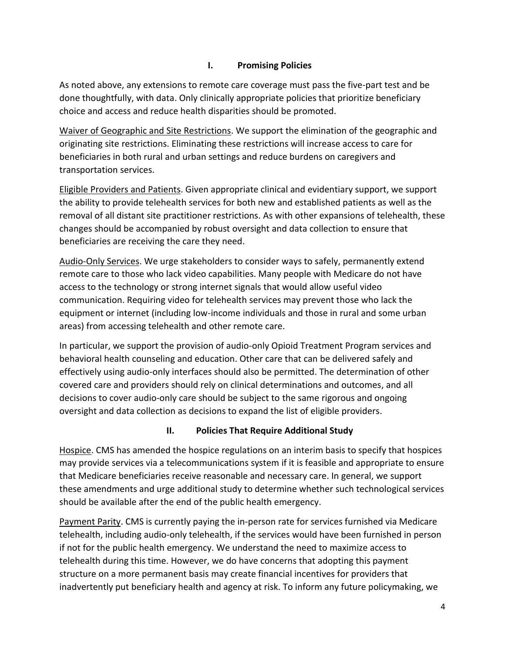## **I. Promising Policies**

As noted above, any extensions to remote care coverage must pass the five-part test and be done thoughtfully, with data. Only clinically appropriate policies that prioritize beneficiary choice and access and reduce health disparities should be promoted.

Waiver of Geographic and Site Restrictions. We support the elimination of the geographic and originating site restrictions. Eliminating these restrictions will increase access to care for beneficiaries in both rural and urban settings and reduce burdens on caregivers and transportation services.

Eligible Providers and Patients. Given appropriate clinical and evidentiary support, we support the ability to provide telehealth services for both new and established patients as well as the removal of all distant site practitioner restrictions. As with other expansions of telehealth, these changes should be accompanied by robust oversight and data collection to ensure that beneficiaries are receiving the care they need.

Audio-Only Services. We urge stakeholders to consider ways to safely, permanently extend remote care to those who lack video capabilities. Many people with Medicare do not have access to the technology or strong internet signals that would allow useful video communication. Requiring video for telehealth services may prevent those who lack the equipment or internet (including low-income individuals and those in rural and some urban areas) from accessing telehealth and other remote care.

In particular, we support the provision of audio-only Opioid Treatment Program services and behavioral health counseling and education. Other care that can be delivered safely and effectively using audio-only interfaces should also be permitted. The determination of other covered care and providers should rely on clinical determinations and outcomes, and all decisions to cover audio-only care should be subject to the same rigorous and ongoing oversight and data collection as decisions to expand the list of eligible providers.

## **II. Policies That Require Additional Study**

Hospice. CMS has amended the hospice regulations on an interim basis to specify that hospices may provide services via a telecommunications system if it is feasible and appropriate to ensure that Medicare beneficiaries receive reasonable and necessary care. In general, we support these amendments and urge additional study to determine whether such technological services should be available after the end of the public health emergency.

Payment Parity. CMS is currently paying the in-person rate for services furnished via Medicare telehealth, including audio-only telehealth, if the services would have been furnished in person if not for the public health emergency. We understand the need to maximize access to telehealth during this time. However, we do have concerns that adopting this payment structure on a more permanent basis may create financial incentives for providers that inadvertently put beneficiary health and agency at risk. To inform any future policymaking, we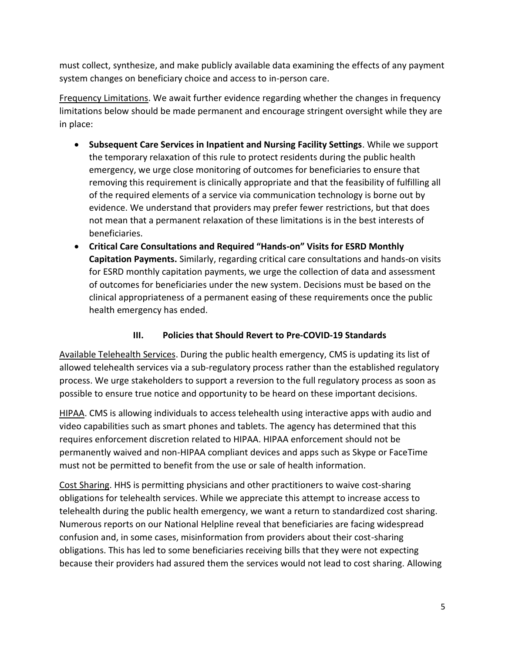must collect, synthesize, and make publicly available data examining the effects of any payment system changes on beneficiary choice and access to in-person care.

Frequency Limitations. We await further evidence regarding whether the changes in frequency limitations below should be made permanent and encourage stringent oversight while they are in place:

- **Subsequent Care Services in Inpatient and Nursing Facility Settings**. While we support the temporary relaxation of this rule to protect residents during the public health emergency, we urge close monitoring of outcomes for beneficiaries to ensure that removing this requirement is clinically appropriate and that the feasibility of fulfilling all of the required elements of a service via communication technology is borne out by evidence. We understand that providers may prefer fewer restrictions, but that does not mean that a permanent relaxation of these limitations is in the best interests of beneficiaries.
- **Critical Care Consultations and Required "Hands-on" Visits for ESRD Monthly Capitation Payments.** Similarly, regarding critical care consultations and hands-on visits for ESRD monthly capitation payments, we urge the collection of data and assessment of outcomes for beneficiaries under the new system. Decisions must be based on the clinical appropriateness of a permanent easing of these requirements once the public health emergency has ended.

# **III. Policies that Should Revert to Pre-COVID-19 Standards**

Available Telehealth Services. During the public health emergency, CMS is updating its list of allowed telehealth services via a sub-regulatory process rather than the established regulatory process. We urge stakeholders to support a reversion to the full regulatory process as soon as possible to ensure true notice and opportunity to be heard on these important decisions.

HIPAA. CMS is allowing individuals to access telehealth using interactive apps with audio and video capabilities such as smart phones and tablets. The agency has determined that this requires enforcement discretion related to HIPAA. HIPAA enforcement should not be permanently waived and non-HIPAA compliant devices and apps such as Skype or FaceTime must not be permitted to benefit from the use or sale of health information.

Cost Sharing. HHS is permitting physicians and other practitioners to waive cost-sharing obligations for telehealth services. While we appreciate this attempt to increase access to telehealth during the public health emergency, we want a return to standardized cost sharing. Numerous reports on our National Helpline reveal that beneficiaries are facing widespread confusion and, in some cases, misinformation from providers about their cost-sharing obligations. This has led to some beneficiaries receiving bills that they were not expecting because their providers had assured them the services would not lead to cost sharing. Allowing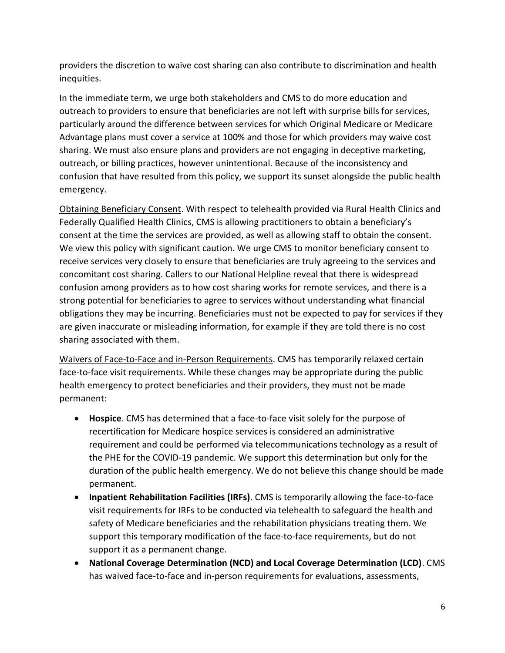providers the discretion to waive cost sharing can also contribute to discrimination and health inequities.

In the immediate term, we urge both stakeholders and CMS to do more education and outreach to providers to ensure that beneficiaries are not left with surprise bills for services, particularly around the difference between services for which Original Medicare or Medicare Advantage plans must cover a service at 100% and those for which providers may waive cost sharing. We must also ensure plans and providers are not engaging in deceptive marketing, outreach, or billing practices, however unintentional. Because of the inconsistency and confusion that have resulted from this policy, we support its sunset alongside the public health emergency.

Obtaining Beneficiary Consent. With respect to telehealth provided via Rural Health Clinics and Federally Qualified Health Clinics, CMS is allowing practitioners to obtain a beneficiary's consent at the time the services are provided, as well as allowing staff to obtain the consent. We view this policy with significant caution. We urge CMS to monitor beneficiary consent to receive services very closely to ensure that beneficiaries are truly agreeing to the services and concomitant cost sharing. Callers to our National Helpline reveal that there is widespread confusion among providers as to how cost sharing works for remote services, and there is a strong potential for beneficiaries to agree to services without understanding what financial obligations they may be incurring. Beneficiaries must not be expected to pay for services if they are given inaccurate or misleading information, for example if they are told there is no cost sharing associated with them.

Waivers of Face-to-Face and in-Person Requirements. CMS has temporarily relaxed certain face-to-face visit requirements. While these changes may be appropriate during the public health emergency to protect beneficiaries and their providers, they must not be made permanent:

- **Hospice**. CMS has determined that a face-to-face visit solely for the purpose of recertification for Medicare hospice services is considered an administrative requirement and could be performed via telecommunications technology as a result of the PHE for the COVID-19 pandemic. We support this determination but only for the duration of the public health emergency. We do not believe this change should be made permanent.
- **Inpatient Rehabilitation Facilities (IRFs)**. CMS is temporarily allowing the face-to-face visit requirements for IRFs to be conducted via telehealth to safeguard the health and safety of Medicare beneficiaries and the rehabilitation physicians treating them. We support this temporary modification of the face-to-face requirements, but do not support it as a permanent change.
- **National Coverage Determination (NCD) and Local Coverage Determination (LCD)**. CMS has waived face-to-face and in-person requirements for evaluations, assessments,